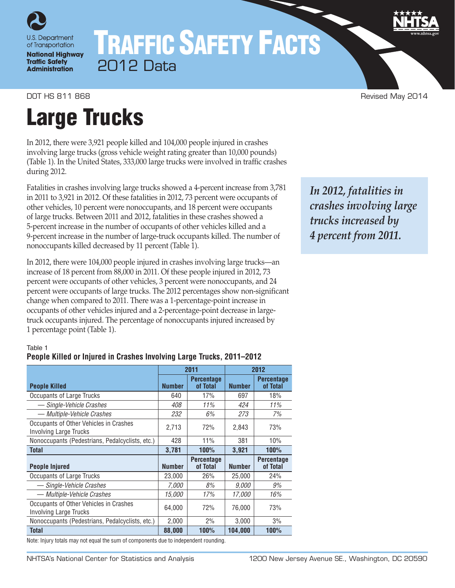

**National Highway Traffic Safety Administration** 

# TRAFFIC SAFETY FACTS 2012 Data

DOT HS 811 868 **Revised May 2014 Revised May 2014** 

# Large Trucks

In 2012, there were 3,921 people killed and 104,000 people injured in crashes involving large trucks (gross vehicle weight rating greater than 10,000 pounds) (Table 1). In the United States, 333,000 large trucks were involved in traffic crashes during 2012.

Fatalities in crashes involving large trucks showed a 4-percent increase from 3,781 in 2011 to 3,921 in 2012. Of these fatalities in 2012, 73 percent were occupants of other vehicles, 10 percent were nonoccupants, and 18 percent were occupants of large trucks. Between 2011 and 2012, fatalities in these crashes showed a 5-percent increase in the number of occupants of other vehicles killed and a 9-percent increase in the number of large-truck occupants killed. The number of nonoccupants killed decreased by 11 percent (Table 1).

In 2012, there were 104,000 people injured in crashes involving large trucks—an increase of 18 percent from 88,000 in 2011. Of these people injured in 2012, 73 percent were occupants of other vehicles, 3 percent were nonoccupants, and 24 percent were occupants of large trucks. The 2012 percentages show non-significant change when compared to 2011. There was a 1-percentage-point increase in occupants of other vehicles injured and a 2-percentage-point decrease in largetruck occupants injured. The percentage of nonoccupants injured increased by 1 percentage point (Table 1).

*In 2012, fatalities in crashes involving large trucks increased by 4 percent from 2011.*

#### Table 1

### **People Killed or Injured in Crashes Involving Large Trucks, 2011–2012**

|                                                                         |               | 2011                          | 2012          |                               |  |
|-------------------------------------------------------------------------|---------------|-------------------------------|---------------|-------------------------------|--|
| <b>People Killed</b>                                                    | <b>Number</b> | <b>Percentage</b><br>of Total | <b>Number</b> | <b>Percentage</b><br>of Total |  |
| Occupants of Large Trucks                                               | 640           | 17%                           | 697           | 18%                           |  |
| — Single-Vehicle Crashes                                                | 408           | 11%                           | 424           | 11%                           |  |
| — Multiple-Vehicle Crashes                                              | 232           | 6%                            | 273           | 7%                            |  |
| Occupants of Other Vehicles in Crashes<br><b>Involving Large Trucks</b> | 2,713         | 72%                           | 2,843         | 73%                           |  |
| Nonoccupants (Pedestrians, Pedalcyclists, etc.)                         | 428           | 11%                           | 381           | 10%                           |  |
| <b>Total</b>                                                            | 3.781         | <b>100%</b>                   | 3,921         | 100%                          |  |
| <b>People Injured</b>                                                   | <b>Number</b> | <b>Percentage</b><br>of Total | <b>Number</b> | <b>Percentage</b><br>of Total |  |
| Occupants of Large Trucks                                               | 23,000        | 26%                           | 25,000        | 24%                           |  |
| - Single-Vehicle Crashes                                                | 7.000         | 8%                            | <i>9.000</i>  | $9\%$                         |  |
| - Multiple-Vehicle Crashes                                              | <i>15.000</i> | 17%                           | <i>17.000</i> | 16%                           |  |
| Occupants of Other Vehicles in Crashes<br><b>Involving Large Trucks</b> | 64.000        | 72%                           | 76.000        | 73%                           |  |
| Nonoccupants (Pedestrians, Pedalcyclists, etc.)                         | 2,000         | 2%                            | 3,000         | 3%                            |  |
| <b>Total</b>                                                            | 88,000        | <b>100%</b>                   | 104,000       | <b>100%</b>                   |  |

Note: Injury totals may not equal the sum of components due to independent rounding.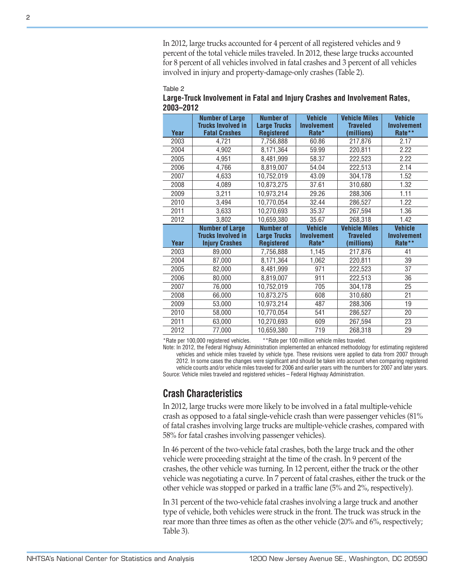#### Table 2

| Large-Truck Involvement in Fatal and Injury Crashes and Involvement Rates, |  |  |
|----------------------------------------------------------------------------|--|--|
| 2003-2012                                                                  |  |  |

|                      | In 2012, large trucks accounted for 4 percent of all registered vehicles and 9<br>percent of the total vehicle miles traveled. In 2012, these large trucks accounted<br>for 8 percent of all vehicles involved in fatal crashes and 3 percent of all vehicles<br>involved in injury and property-damage-only crashes (Table 2).                                                                                                                                                                                                                                                                                                                                                                                                                                                                                                                                                                                           |                                                              |                                               |                                                                                  |                                                |
|----------------------|---------------------------------------------------------------------------------------------------------------------------------------------------------------------------------------------------------------------------------------------------------------------------------------------------------------------------------------------------------------------------------------------------------------------------------------------------------------------------------------------------------------------------------------------------------------------------------------------------------------------------------------------------------------------------------------------------------------------------------------------------------------------------------------------------------------------------------------------------------------------------------------------------------------------------|--------------------------------------------------------------|-----------------------------------------------|----------------------------------------------------------------------------------|------------------------------------------------|
| Table 2<br>2003-2012 | Large-Truck Involvement in Fatal and Injury Crashes and Involvement Rates,                                                                                                                                                                                                                                                                                                                                                                                                                                                                                                                                                                                                                                                                                                                                                                                                                                                |                                                              |                                               |                                                                                  |                                                |
| Year                 | <b>Number of Large</b><br><b>Trucks Involved in</b><br><b>Fatal Crashes</b>                                                                                                                                                                                                                                                                                                                                                                                                                                                                                                                                                                                                                                                                                                                                                                                                                                               | <b>Number of</b><br><b>Large Trucks</b><br><b>Registered</b> | <b>Vehicle</b><br><b>Involvement</b><br>Rate* | <b>Vehicle Miles</b><br><b>Traveled</b><br>(millions)                            | <b>Vehicle</b><br><b>Involvement</b><br>Rate** |
| 2003                 | 4,721                                                                                                                                                                                                                                                                                                                                                                                                                                                                                                                                                                                                                                                                                                                                                                                                                                                                                                                     | 7,756,888                                                    | 60.86                                         | 217,876                                                                          | 2.17                                           |
| 2004                 | 4,902                                                                                                                                                                                                                                                                                                                                                                                                                                                                                                                                                                                                                                                                                                                                                                                                                                                                                                                     | 8,171,364                                                    | 59.99                                         | 220,811                                                                          | 2.22                                           |
| 2005                 | 4,951                                                                                                                                                                                                                                                                                                                                                                                                                                                                                                                                                                                                                                                                                                                                                                                                                                                                                                                     | 8,481,999                                                    | 58.37                                         | 222,523                                                                          | 2.22                                           |
| 2006                 | 4,766                                                                                                                                                                                                                                                                                                                                                                                                                                                                                                                                                                                                                                                                                                                                                                                                                                                                                                                     | 8,819,007                                                    | 54.04                                         | 222,513                                                                          | 2.14                                           |
| 2007                 | 4,633                                                                                                                                                                                                                                                                                                                                                                                                                                                                                                                                                                                                                                                                                                                                                                                                                                                                                                                     | 10,752,019                                                   | 43.09                                         | 304,178                                                                          | 1.52                                           |
| 2008                 | 4,089                                                                                                                                                                                                                                                                                                                                                                                                                                                                                                                                                                                                                                                                                                                                                                                                                                                                                                                     | 10,873,275                                                   | 37.61                                         | 310,680                                                                          | 1.32                                           |
| 2009                 | 3,211                                                                                                                                                                                                                                                                                                                                                                                                                                                                                                                                                                                                                                                                                                                                                                                                                                                                                                                     | 10,973,214                                                   | 29.26                                         | 288,306                                                                          | 1.11                                           |
| 2010                 | 3,494                                                                                                                                                                                                                                                                                                                                                                                                                                                                                                                                                                                                                                                                                                                                                                                                                                                                                                                     | 10,770,054                                                   | 32.44                                         | 286,527                                                                          | 1.22                                           |
| 2011                 | 3,633                                                                                                                                                                                                                                                                                                                                                                                                                                                                                                                                                                                                                                                                                                                                                                                                                                                                                                                     | 10,270,693                                                   | 35.37                                         | 267,594                                                                          | 1.36                                           |
| 2012                 | 3,802                                                                                                                                                                                                                                                                                                                                                                                                                                                                                                                                                                                                                                                                                                                                                                                                                                                                                                                     | 10,659,380                                                   | 35.67                                         | 268,318                                                                          | 1.42                                           |
|                      | <b>Number of Large</b>                                                                                                                                                                                                                                                                                                                                                                                                                                                                                                                                                                                                                                                                                                                                                                                                                                                                                                    | <b>Number of</b>                                             | <b>Vehicle</b>                                | <b>Vehicle Miles</b>                                                             | <b>Vehicle</b>                                 |
| Year                 | <b>Trucks Involved in</b><br><b>Injury Crashes</b>                                                                                                                                                                                                                                                                                                                                                                                                                                                                                                                                                                                                                                                                                                                                                                                                                                                                        | <b>Large Trucks</b><br><b>Registered</b>                     | Involvement<br>Rate*                          | <b>Traveled</b><br>(millions)                                                    | <b>Involvement</b><br>Rate**                   |
| 2003                 | 89,000                                                                                                                                                                                                                                                                                                                                                                                                                                                                                                                                                                                                                                                                                                                                                                                                                                                                                                                    | 7,756,888                                                    | 1,145                                         | 217,876                                                                          | 41                                             |
| 2004                 | 87,000                                                                                                                                                                                                                                                                                                                                                                                                                                                                                                                                                                                                                                                                                                                                                                                                                                                                                                                    | 8,171,364                                                    | 1,062                                         | 220,811                                                                          | 39                                             |
| 2005                 | 82,000                                                                                                                                                                                                                                                                                                                                                                                                                                                                                                                                                                                                                                                                                                                                                                                                                                                                                                                    | 8,481,999                                                    | 971                                           | 222,523                                                                          | 37                                             |
| 2006                 | 80,000                                                                                                                                                                                                                                                                                                                                                                                                                                                                                                                                                                                                                                                                                                                                                                                                                                                                                                                    | 8,819,007                                                    | 911                                           | 222,513                                                                          | 36                                             |
| 2007                 | 76,000                                                                                                                                                                                                                                                                                                                                                                                                                                                                                                                                                                                                                                                                                                                                                                                                                                                                                                                    | 10,752,019                                                   | 705                                           | 304,178                                                                          | $\overline{25}$                                |
| 2008                 | 66,000                                                                                                                                                                                                                                                                                                                                                                                                                                                                                                                                                                                                                                                                                                                                                                                                                                                                                                                    | 10,873,275                                                   | 608                                           | 310,680                                                                          | $\overline{21}$                                |
| 2009                 | 53,000                                                                                                                                                                                                                                                                                                                                                                                                                                                                                                                                                                                                                                                                                                                                                                                                                                                                                                                    | 10,973,214                                                   | 487                                           | 288,306                                                                          | 19                                             |
| 2010                 | 58,000                                                                                                                                                                                                                                                                                                                                                                                                                                                                                                                                                                                                                                                                                                                                                                                                                                                                                                                    | 10,770,054                                                   | 541                                           | 286,527                                                                          | 20                                             |
| 2011                 | 63,000                                                                                                                                                                                                                                                                                                                                                                                                                                                                                                                                                                                                                                                                                                                                                                                                                                                                                                                    | 10,270,693                                                   | 609                                           | 267,594                                                                          | 23                                             |
| 2012                 | 77,000                                                                                                                                                                                                                                                                                                                                                                                                                                                                                                                                                                                                                                                                                                                                                                                                                                                                                                                    | 10,659,380                                                   | 719                                           | 268,318                                                                          | 29                                             |
|                      | Note: In 2012, the Federal Highway Administration implemented an enhanced methodology for estimating registered<br>vehicles and vehicle miles traveled by vehicle type. These revisions were applied to data from 2007 through<br>2012. In some cases the changes were significant and should be taken into account when comparing registered<br>vehicle counts and/or vehicle miles traveled for 2006 and earlier years with the numbers for 2007 and later years.<br>Source: Vehicle miles traveled and registered vehicles – Federal Highway Administration.<br><b>Crash Characteristics</b><br>In 2012, large trucks were more likely to be involved in a fatal multiple-vehicle<br>crash as opposed to a fatal single-vehicle crash than were passenger vehicles (81%<br>of fatal crashes involving large trucks are multiple-vehicle crashes, compared with<br>58% for fatal crashes involving passenger vehicles). |                                                              |                                               |                                                                                  |                                                |
|                      | In 46 percent of the two-vehicle fatal crashes, both the large truck and the other<br>vehicle were proceeding straight at the time of the crash. In 9 percent of the<br>crashes, the other vehicle was turning. In 12 percent, either the truck or the other<br>vehicle was negotiating a curve. In 7 percent of fatal crashes, either the truck or the                                                                                                                                                                                                                                                                                                                                                                                                                                                                                                                                                                   |                                                              |                                               | other vehicle was stopped or parked in a traffic lane (5% and 2%, respectively). |                                                |

# **Crash Characteristics**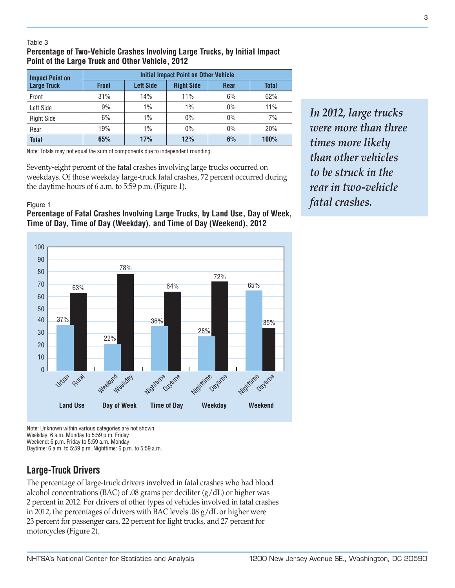#### Table 3

# **Percentage of Two-Vehicle Crashes Involving Large Trucks, by Initial Impact Point of the Large Truck and Other Vehicle, 2012**

| <b>Impact Point on</b> | <b>Initial Impact Point on Other Vehicle</b> |                  |                   |             |       |  |
|------------------------|----------------------------------------------|------------------|-------------------|-------------|-------|--|
| <b>Large Truck</b>     | <b>Front</b>                                 | <b>Left Side</b> | <b>Right Side</b> | <b>Rear</b> | Total |  |
| Front                  | 31%                                          | 14%              | 11%               | 6%          | 62%   |  |
| Left Side              | 9%                                           | 1%               | $1\%$             | 0%          | 11%   |  |
| <b>Right Side</b>      | 6%                                           | $1\%$            | 0%                | 0%          | 7%    |  |
| Rear                   | 19%                                          | $1\%$            | 0%                | 0%          | 20%   |  |
| <b>Total</b>           | 65%                                          | 17%              | 12%               | 6%          | 100%  |  |

Note: Totals may not equal the sum of components due to independent rounding.

Seventy-eight percent of the fatal crashes involving large trucks occurred on weekdays. Of those weekday large-truck fatal crashes, 72 percent occurred during the daytime hours of 6 a.m. to 5:59 p.m. (Figure 1).

#### Figure 1

### **Percentage of Fatal Crashes Involving Large Trucks, by Land Use, Day of Week, Time of Day, Time of Day (Weekday), and Time of Day (Weekend), 2012**

*In 2012, large trucks were more than three times more likely than other vehicles to be struck in the rear in two-vehicle fatal crashes.*



Note: Unknown within various categories are not shown. Weekday: 6 a.m. Monday to 5:59 p.m. Friday Weekend: 6 p.m. Friday to 5:59 a.m. Monday Daytime: 6 a.m. to 5:59 p.m. Nighttime: 6 p.m. to 5:59 a.m.

# **Large-Truck Drivers**

The percentage of large-truck drivers involved in fatal crashes who had blood alcohol concentrations (BAC) of .08 grams per deciliter  $(g/dL)$  or higher was 2 percent in 2012. For drivers of other types of vehicles involved in fatal crashes in 2012, the percentages of drivers with BAC levels .08 g/dL or higher were 23 percent for passenger cars, 22 percent for light trucks, and 27 percent for motorcycles (Figure 2).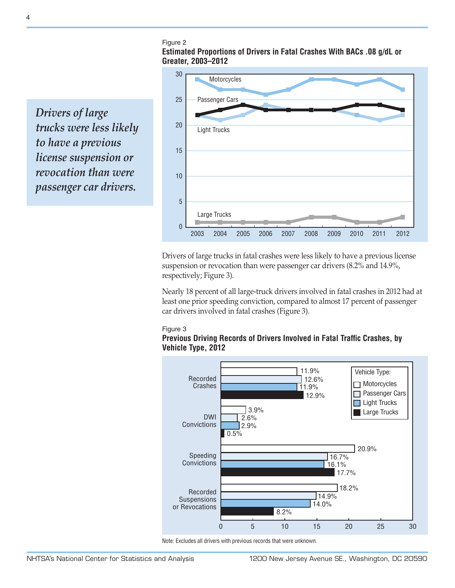#### Figure 2

**Estimated Proportions of Drivers in Fatal Crashes With BACs .08 g/dL or Greater, 2003–2012**

*Drivers of large trucks were less likely to have a previous license suspension or revocation than were passenger car drivers.*



Drivers of large trucks in fatal crashes were less likely to have a previous license suspension or revocation than were passenger car drivers (8.2% and 14.9%, respectively; Figure 3).

Nearly 18 percent of all large-truck drivers involved in fatal crashes in 2012 had at least one prior speeding conviction, compared to almost 17 percent of passenger car drivers involved in fatal crashes (Figure 3).

#### Figure 3

#### **Previous Driving Records of Drivers Involved in Fatal Traffic Crashes, by Vehicle Type, 2012**



Note: Excludes all drivers with previous records that were unknown.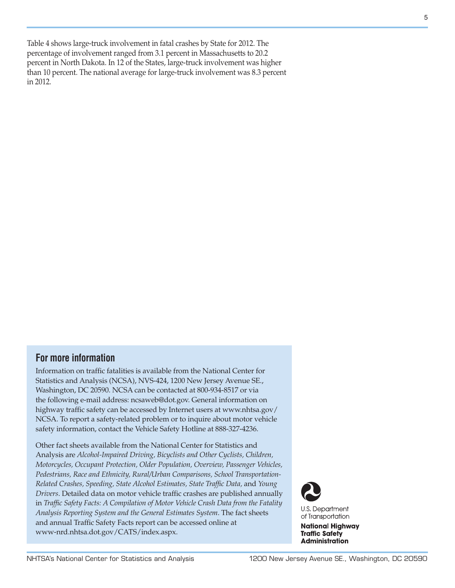Table 4 shows large-truck involvement in fatal crashes by State for 2012. The percentage of involvement ranged from 3.1 percent in Massachusetts to 20.2 percent in North Dakota. In 12 of the States, large-truck involvement was higher than 10 percent. The national average for large-truck involvement was 8.3 percent in 2012.

# **For more information**

Information on traffic fatalities is available from the National Center for Statistics and Analysis (NCSA), NVS-424, 1200 New Jersey Avenue SE., Washington, DC 20590. NCSA can be contacted at 800-934-8517 or via the following e-mail address: [ncsaweb@dot.gov](mailto:ncsaweb%40dot.gov?subject=ncsaweb%40dot.gov). General information on highway traffic safety can be accessed by Internet users at [www.nhtsa.gov/](www.nhtsa.gov/NCSA) [NCSA](www.nhtsa.gov/NCSA). To report a safety-related problem or to inquire about motor vehicle safety information, contact the Vehicle Safety Hotline at 888-327-4236.

Other fact sheets available from the National Center for Statistics and Analysis are *Alcohol-Impaired Driving, Bicyclists and Other Cyclists, Children, Motorcycles, Occupant Protection, Older Population, Overview, Passenger Vehicles, Pedestrians, Race and Ethnicity, Rural/Urban Comparisons, School Transportation-Related Crashes, Speeding, State Alcohol Estimates, State Traffic Data,* and *Young Drivers*. Detailed data on motor vehicle traffic crashes are published annually in *Traffic Safety Facts: A Compilation of Motor Vehicle Crash Data from the Fatality Analysis Reporting System and the General Estimates System*. The fact sheets and annual Traffic Safety Facts report can be accessed online at [www-nrd.nhtsa.dot.gov/CATS/index.aspx.](http://www-nrd.nhtsa.dot.gov/CATS/index.aspx)



**National Highway Traffic Safety Administration**